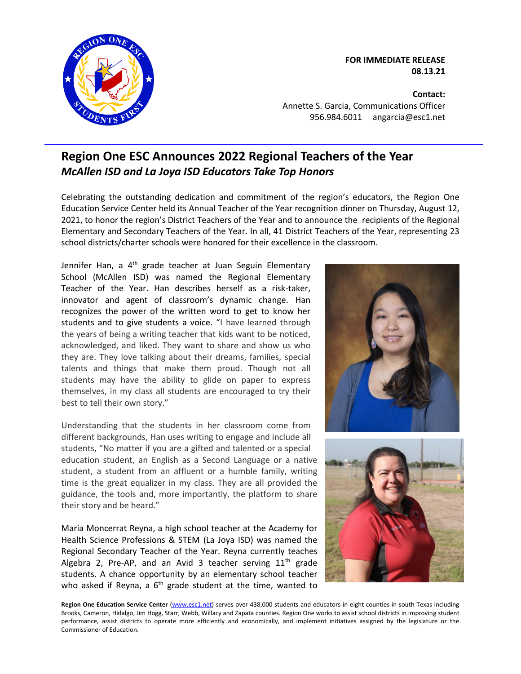

**FOR IMMEDIATE RELEASE 08.13.21**

**Contact:** Annette S. Garcia, Communications Officer 956.984.6011 angarcia@esc1.net

## **Region One ESC Announces 2022 Regional Teachers of the Year** *McAllen ISD and La Joya ISD Educators Take Top Honors*

Celebrating the outstanding dedication and commitment of the region's educators, the Region One Education Service Center held its Annual Teacher of the Year recognition dinner on Thursday, August 12, 2021, to honor the region's District Teachers of the Year and to announce the recipients of the Regional Elementary and Secondary Teachers of the Year. In all, 41 District Teachers of the Year, representing 23 school districts/charter schools were honored for their excellence in the classroom.

Jennifer Han, a 4<sup>th</sup> grade teacher at Juan Seguin Elementary School (McAllen ISD) was named the Regional Elementary Teacher of the Year. Han describes herself as a risk-taker, innovator and agent of classroom's dynamic change. Han recognizes the power of the written word to get to know her students and to give students a voice. "I have learned through the years of being a writing teacher that kids want to be noticed, acknowledged, and liked. They want to share and show us who they are. They love talking about their dreams, families, special talents and things that make them proud. Though not all students may have the ability to glide on paper to express themselves, in my class all students are encouraged to try their best to tell their own story."

Understanding that the students in her classroom come from different backgrounds, Han uses writing to engage and include all students, "No matter if you are a gifted and talented or a special education student, an English as a Second Language or a native student, a student from an affluent or a humble family, writing time is the great equalizer in my class. They are all provided the guidance, the tools and, more importantly, the platform to share their story and be heard."

Maria Moncerrat Reyna, a high school teacher at the Academy for Health Science Professions & STEM (La Joya ISD) was named the Regional Secondary Teacher of the Year. Reyna currently teaches Algebra 2, Pre-AP, and an Avid 3 teacher serving  $11<sup>th</sup>$  grade students. A chance opportunity by an elementary school teacher who asked if Reyna, a  $6<sup>th</sup>$  grade student at the time, wanted to





Region One Education Service Center [\(www.esc1.net\)](http://www.esc1.net/) serves over 438,000 students and educators in eight counties in south Texas including Brooks, Cameron, Hidalgo, Jim Hogg, Starr, Webb, Willacy and Zapata counties. Region One works to assist school districts in improving student performance, assist districts to operate more efficiently and economically, and implement initiatives assigned by the legislature or the Commissioner of Education.